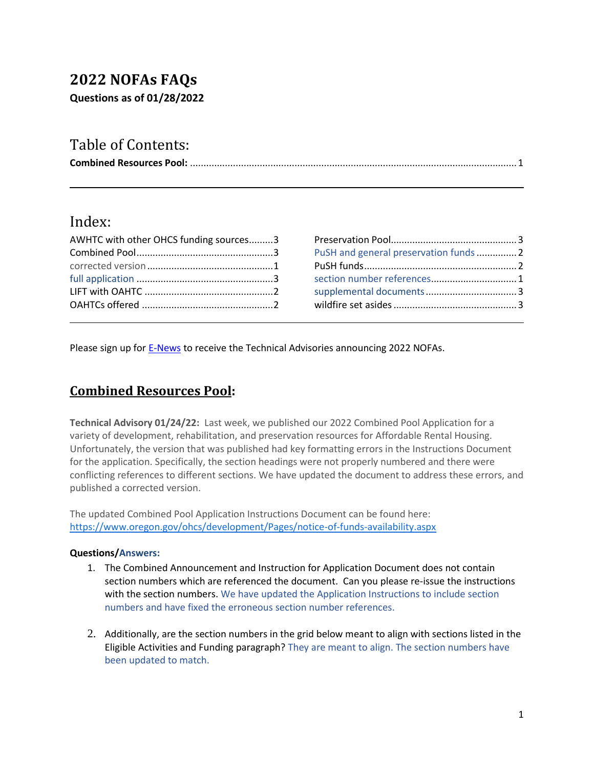# **2022 NOFAs FAQs**

**Questions as of 01/28/2022**

# Table of Contents:

|--|--|

## Index:

| AWHTC with other OHCS funding sources3 |  |
|----------------------------------------|--|
|                                        |  |
|                                        |  |
|                                        |  |
|                                        |  |
|                                        |  |

| PuSH and general preservation funds 2 |  |
|---------------------------------------|--|
|                                       |  |
| section number references 1           |  |
|                                       |  |
|                                       |  |
|                                       |  |

Please sign up for [E-News](https://visitor.r20.constantcontact.com/manage/optin?v=001j9jAEm-uzFhdSiMgaotZf44murIfAzCeRG1kPCbHKYrhvKOFh0W4KxpJUxb1xM2SflebAr7VnjV0gV3r38ZqxrbM4P_eqjog7rR4m7ulwOA%3D) to receive the Technical Advisories announcing 2022 NOFAs.

### <span id="page-0-0"></span>**Combined Resources Pool:**

**Technical Advisory 01/24/22:** Last week, we published our 2022 Combined Pool Application for a variety of development, rehabilitation, and preservation resources for Affordable Rental Housing. Unfortunately, the version that was published had key formatting errors in the Instructions Document for the application. Specifically, the section headings were not properly numbered and there were conflicting references to different sections. We have updated the document to address these errors, and published a corrected version.

The updated Combined Pool Application Instructions Document can be found here: [https://www.oregon.gov/ohcs/development/Pages/notice-of-funds-availability.aspx](https://t.e2ma.net/click/edhv5ne/qq3mwrhc/6aiogo6e)

#### **Questions/Answers:**

- 1. The Combined Announcement and Instruction for Application Document does not contain section numbers which are referenced the document. Can you please re-issue the instructions with the section numbers. We have updated the Application Instructions to include section numbers and have fixed the erroneous section number references.
- 2. Additionally, are the section numbers in the grid below meant to align with sections listed in the Eligible Activities and Funding paragraph? They are meant to align. The section numbers have been updated to match.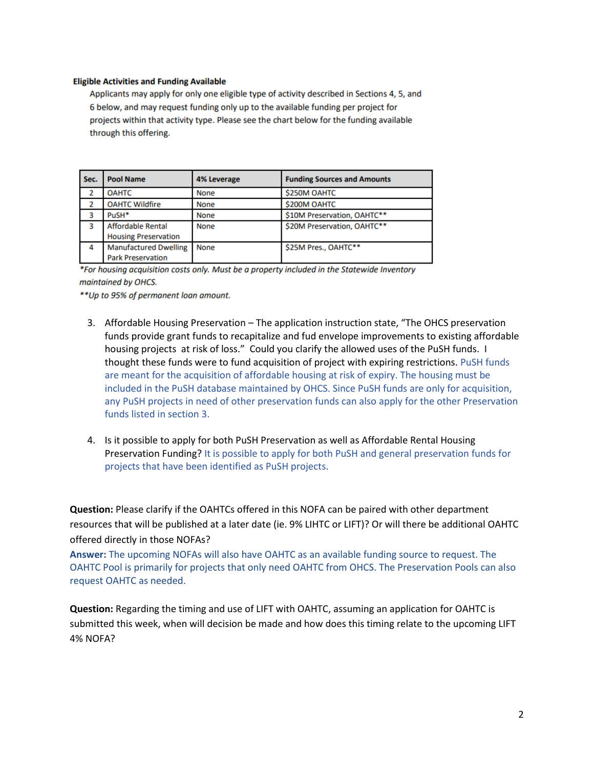#### **Eligible Activities and Funding Available**

Applicants may apply for only one eligible type of activity described in Sections 4, 5, and 6 below, and may request funding only up to the available funding per project for projects within that activity type. Please see the chart below for the funding available through this offering.

| Sec. | <b>Pool Name</b>                                         | 4% Leverage | <b>Funding Sources and Amounts</b> |
|------|----------------------------------------------------------|-------------|------------------------------------|
| 2    | <b>OAHTC</b>                                             | None        | <b>\$250M OAHTC</b>                |
|      | <b>OAHTC Wildfire</b>                                    | <b>None</b> | <b>\$200M OAHTC</b>                |
| з    | PuSH*                                                    | <b>None</b> | \$10M Preservation, OAHTC**        |
| 3    | <b>Affordable Rental</b><br><b>Housing Preservation</b>  | <b>None</b> | \$20M Preservation, OAHTC**        |
| 4    | <b>Manufactured Dwelling</b><br><b>Park Preservation</b> | <b>None</b> | \$25M Pres., OAHTC**               |

\*For housing acquisition costs only. Must be a property included in the Statewide Inventory maintained by OHCS.

\*\* Up to 95% of permanent loan amount.

- 3. Affordable Housing Preservation The application instruction state, "The OHCS preservation funds provide grant funds to recapitalize and fud envelope improvements to existing affordable housing projects at risk of loss." Could you clarify the allowed uses of the PuSH funds. I thought these funds were to fund acquisition of project with expiring restrictions. PuSH funds are meant for the acquisition of affordable housing at risk of expiry. The housing must be included in the PuSH database maintained by OHCS. Since PuSH funds are only for acquisition, any PuSH projects in need of other preservation funds can also apply for the other Preservation funds listed in section 3.
- 4. Is it possible to apply for both PuSH Preservation as well as Affordable Rental Housing Preservation Funding? It is possible to apply for both PuSH and general preservation funds for projects that have been identified as PuSH projects.

**Question:** Please clarify if the OAHTCs offered in this NOFA can be paired with other department resources that will be published at a later date (ie. 9% LIHTC or LIFT)? Or will there be additional OAHTC offered directly in those NOFAs?

**Answer:** The upcoming NOFAs will also have OAHTC as an available funding source to request. The OAHTC Pool is primarily for projects that only need OAHTC from OHCS. The Preservation Pools can also request OAHTC as needed.

**Question:** Regarding the timing and use of LIFT with OAHTC, assuming an application for OAHTC is submitted this week, when will decision be made and how does this timing relate to the upcoming LIFT 4% NOFA?